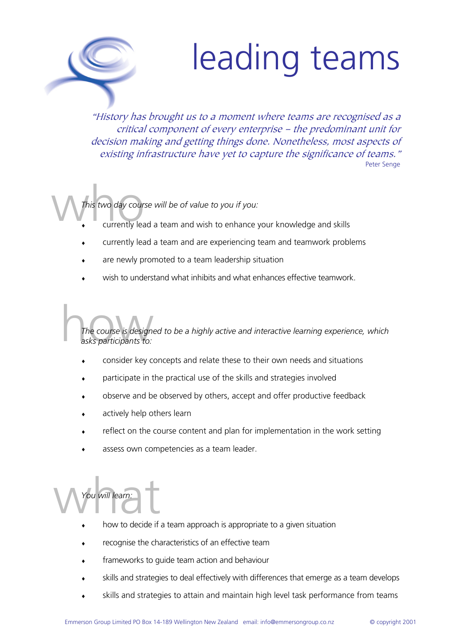## leading teams

"History has brought us to a moment where teams are recognised as a critical component of every enterprise – the predominant unit for decision making and getting things done. Nonetheless, most aspects of existing infrastructure have yet to capture the significance of teams." Peter Senge

This two day course w *This two day course will be of value to you if you:*

- currently lead a team and wish to enhance your knowledge and skills
- currently lead a team and are experiencing team and teamwork problems
- are newly promoted to a team leadership situation
- wish to understand what inhibits and what enhances effective teamwork.

The course is designed to<br>asks participants to: *The course is designed to be a highly active and interactive learning experience, which asks participants to:* 

- consider key concepts and relate these to their own needs and situations
- participate in the practical use of the skills and strategies involved
- observe and be observed by others, accept and offer productive feedback
- actively help others learn
- reflect on the course content and plan for implementation in the work setting
- assess own competencies as a team leader.

You will learn: *You will learn:* 

- how to decide if a team approach is appropriate to a given situation
- recognise the characteristics of an effective team
- frameworks to guide team action and behaviour
- skills and strategies to deal effectively with differences that emerge as a team develops
- skills and strategies to attain and maintain high level task performance from teams